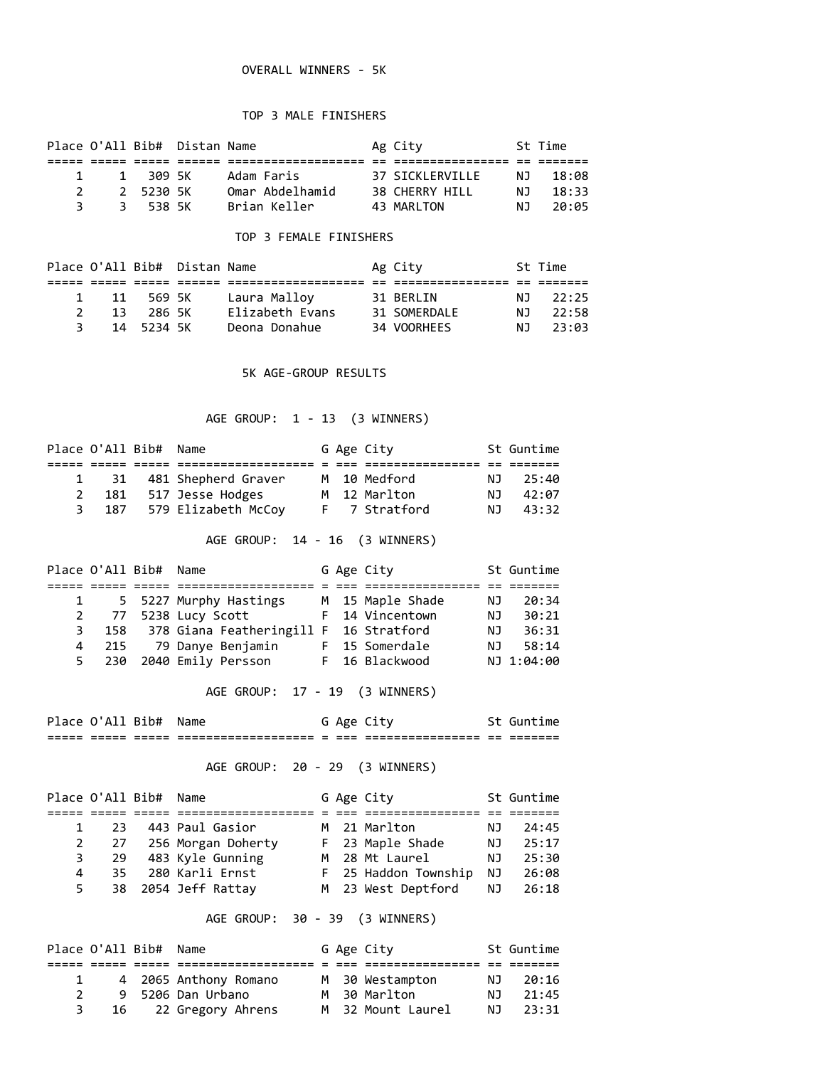#### OVERALL WINNERS - 5K

#### TOP 3 MALE FINISHERS

|               |          | Place O'All Bib# Distan Name |                 | Ag City            |     | St Time |
|---------------|----------|------------------------------|-----------------|--------------------|-----|---------|
|               |          |                              |                 |                    |     |         |
| $\mathbf{1}$  | 1 309 5K |                              | Adam Faris      | 37 STCKI FRVTI I F | N T | 18:08   |
| $\mathcal{P}$ | 252305K  |                              | Omar Abdelhamid | 38 CHERRY HILL     | N J | 18:33   |
|               | 3 538 5K |                              | Brian Keller    | 43 MARLTON         | N J | 20:05   |

## TOP 3 FEMALE FINISHERS

|               |      |            | Place O'All Bib# Distan Name |                 | Ag City      |      | St Time |
|---------------|------|------------|------------------------------|-----------------|--------------|------|---------|
|               |      |            |                              |                 |              |      |         |
|               | 1 11 | - 569 SK   |                              | Laura Malloy    | 31 BERLIN    | NJ 1 | 22:25   |
| $\mathcal{P}$ | -13  | 286 5K     |                              | Elizabeth Evans | 31 SOMERDALE | NJ.  | 22:58   |
|               |      | 14 5234 5K |                              | Deona Donahue   | 34 VOORHEES  | N T  | 23:03   |

#### 5K AGE-GROUP RESULTS

# AGE GROUP: 1 - 13 (3 WINNERS)

| Place O'All Bib# Name |                        |  | G Age City    |      | St Guntime |
|-----------------------|------------------------|--|---------------|------|------------|
|                       |                        |  |               |      |            |
| $\mathbf{1}$          | 31 481 Shepherd Graver |  | M 10 Medford  | N J  | 25:40      |
| 2 181                 | 517 Jesse Hodges       |  | M 12 Marlton  | NJ 1 | 42:07      |
| 3 187                 | 579 Elizabeth McCoy    |  | F 7 Stratford | NJ 1 | 43:32      |
|                       |                        |  |               |      |            |

# AGE GROUP: 14 - 16 (3 WINNERS)

|   | Place O'All Bib#       | Name                                       |  | G Age City       |     | St Guntime |
|---|------------------------|--------------------------------------------|--|------------------|-----|------------|
|   |                        |                                            |  |                  |     |            |
|   | $1 \quad \blacksquare$ | 5 5227 Murphy Hastings                     |  | M 15 Maple Shade | NJ. | 20:34      |
|   |                        | 2 77 5238 Lucy Scott                       |  | F 14 Vincentown  | NJ. | 30:21      |
| 3 |                        | 158 378 Giana Featheringill F 16 Stratford |  |                  | NJ. | 36:31      |
| 4 | 215                    | 79 Danye Benjamin                          |  | F 15 Somerdale   | NJ. | 58:14      |
|   |                        | 5 230 2040 Emily Persson                   |  | F 16 Blackwood   |     | NJ 1:04:00 |

AGE GROUP: 17 - 19 (3 WINNERS)

Place O'All Bib# Name G Age City 5t Guntime ===== ===== ===== =================== = === ================ == =======

# AGE GROUP: 20 - 29 (3 WINNERS)

|              |                  |                                                                                                                           |  |                                                                                          | St Guntime            |
|--------------|------------------|---------------------------------------------------------------------------------------------------------------------------|--|------------------------------------------------------------------------------------------|-----------------------|
|              |                  |                                                                                                                           |  |                                                                                          |                       |
| $\mathbf{1}$ |                  |                                                                                                                           |  | NJ.                                                                                      | 24:45                 |
|              |                  |                                                                                                                           |  | NJ.                                                                                      | 25:17                 |
| $3^{\circ}$  |                  |                                                                                                                           |  | NJ.                                                                                      | 25:30                 |
| 4            |                  |                                                                                                                           |  | NJ                                                                                       | 26:08                 |
| 5            |                  |                                                                                                                           |  |                                                                                          | 26:18                 |
|              | Place O'All Bib# | Name<br>23 443 Paul Gasior<br>2 27 256 Morgan Doherty<br>29 483 Kyle Gunning<br>35 280 Karli Ernst<br>38 2054 Jeff Rattav |  | G Age City<br>M 21 Marlton<br>F 23 Maple Shade<br>M 28 Mt Laurel<br>F 25 Haddon Township | M 23 West Deptford NJ |

## AGE GROUP: 30 - 39 (3 WINNERS)

|               | Place O'All Bib# Name |                       |  | G Age City        |      | St Guntime |
|---------------|-----------------------|-----------------------|--|-------------------|------|------------|
|               |                       |                       |  |                   |      |            |
| 1             |                       | 4 2065 Anthony Romano |  | M 30 Westampton   | N J  | 20:16      |
| $\mathcal{P}$ |                       | 9 5206 Dan Urbano     |  | M 30 Marlton      | N T  | 21:45      |
|               |                       | 16 22 Gregory Ahrens  |  | M 32 Mount Laurel | NJ 1 | 23:31      |